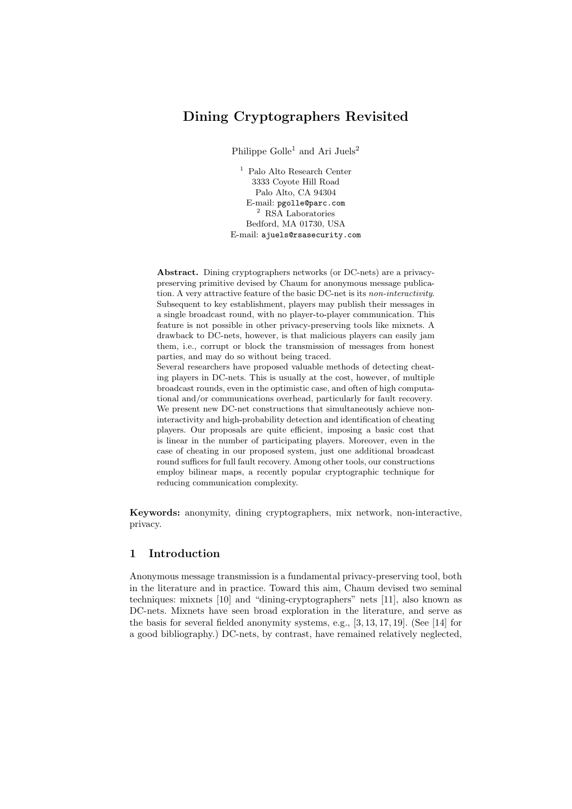# Dining Cryptographers Revisited

Philippe Golle<sup>1</sup> and Ari Juels<sup>2</sup>

<sup>1</sup> Palo Alto Research Center 3333 Coyote Hill Road Palo Alto, CA 94304 E-mail: pgolle@parc.com <sup>2</sup> RSA Laboratories Bedford, MA 01730, USA E-mail: ajuels@rsasecurity.com

Abstract. Dining cryptographers networks (or DC-nets) are a privacypreserving primitive devised by Chaum for anonymous message publication. A very attractive feature of the basic DC-net is its non-interactivity. Subsequent to key establishment, players may publish their messages in a single broadcast round, with no player-to-player communication. This feature is not possible in other privacy-preserving tools like mixnets. A drawback to DC-nets, however, is that malicious players can easily jam them, i.e., corrupt or block the transmission of messages from honest parties, and may do so without being traced. Several researchers have proposed valuable methods of detecting cheat-

ing players in DC-nets. This is usually at the cost, however, of multiple broadcast rounds, even in the optimistic case, and often of high computational and/or communications overhead, particularly for fault recovery. We present new DC-net constructions that simultaneously achieve noninteractivity and high-probability detection and identification of cheating players. Our proposals are quite efficient, imposing a basic cost that is linear in the number of participating players. Moreover, even in the case of cheating in our proposed system, just one additional broadcast round suffices for full fault recovery. Among other tools, our constructions employ bilinear maps, a recently popular cryptographic technique for reducing communication complexity.

Keywords: anonymity, dining cryptographers, mix network, non-interactive, privacy.

# 1 Introduction

Anonymous message transmission is a fundamental privacy-preserving tool, both in the literature and in practice. Toward this aim, Chaum devised two seminal techniques: mixnets [10] and "dining-cryptographers" nets [11], also known as DC-nets. Mixnets have seen broad exploration in the literature, and serve as the basis for several fielded anonymity systems, e.g., [3, 13, 17, 19]. (See [14] for a good bibliography.) DC-nets, by contrast, have remained relatively neglected,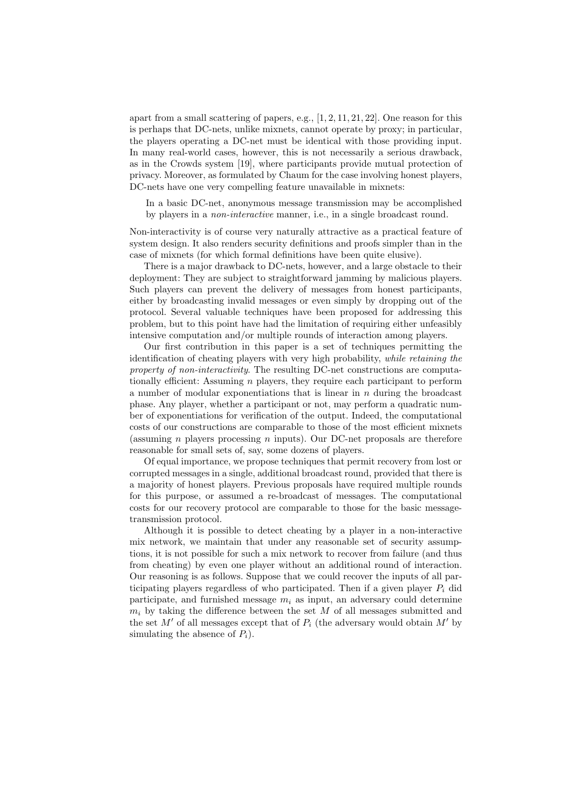apart from a small scattering of papers, e.g.,  $[1, 2, 11, 21, 22]$ . One reason for this is perhaps that DC-nets, unlike mixnets, cannot operate by proxy; in particular, the players operating a DC-net must be identical with those providing input. In many real-world cases, however, this is not necessarily a serious drawback, as in the Crowds system [19], where participants provide mutual protection of privacy. Moreover, as formulated by Chaum for the case involving honest players, DC-nets have one very compelling feature unavailable in mixnets:

In a basic DC-net, anonymous message transmission may be accomplished by players in a non-interactive manner, i.e., in a single broadcast round.

Non-interactivity is of course very naturally attractive as a practical feature of system design. It also renders security definitions and proofs simpler than in the case of mixnets (for which formal definitions have been quite elusive).

There is a major drawback to DC-nets, however, and a large obstacle to their deployment: They are subject to straightforward jamming by malicious players. Such players can prevent the delivery of messages from honest participants, either by broadcasting invalid messages or even simply by dropping out of the protocol. Several valuable techniques have been proposed for addressing this problem, but to this point have had the limitation of requiring either unfeasibly intensive computation and/or multiple rounds of interaction among players.

Our first contribution in this paper is a set of techniques permitting the identification of cheating players with very high probability, while retaining the property of non-interactivity. The resulting DC-net constructions are computationally efficient: Assuming n players, they require each participant to perform a number of modular exponentiations that is linear in  $n$  during the broadcast phase. Any player, whether a participant or not, may perform a quadratic number of exponentiations for verification of the output. Indeed, the computational costs of our constructions are comparable to those of the most efficient mixnets (assuming n players processing n inputs). Our DC-net proposals are therefore reasonable for small sets of, say, some dozens of players.

Of equal importance, we propose techniques that permit recovery from lost or corrupted messages in a single, additional broadcast round, provided that there is a majority of honest players. Previous proposals have required multiple rounds for this purpose, or assumed a re-broadcast of messages. The computational costs for our recovery protocol are comparable to those for the basic messagetransmission protocol.

Although it is possible to detect cheating by a player in a non-interactive mix network, we maintain that under any reasonable set of security assumptions, it is not possible for such a mix network to recover from failure (and thus from cheating) by even one player without an additional round of interaction. Our reasoning is as follows. Suppose that we could recover the inputs of all participating players regardless of who participated. Then if a given player  $P_i$  did participate, and furnished message  $m_i$  as input, an adversary could determine  $m_i$  by taking the difference between the set  $M$  of all messages submitted and the set M' of all messages except that of  $P_i$  (the adversary would obtain M' by simulating the absence of  $P_i$ ).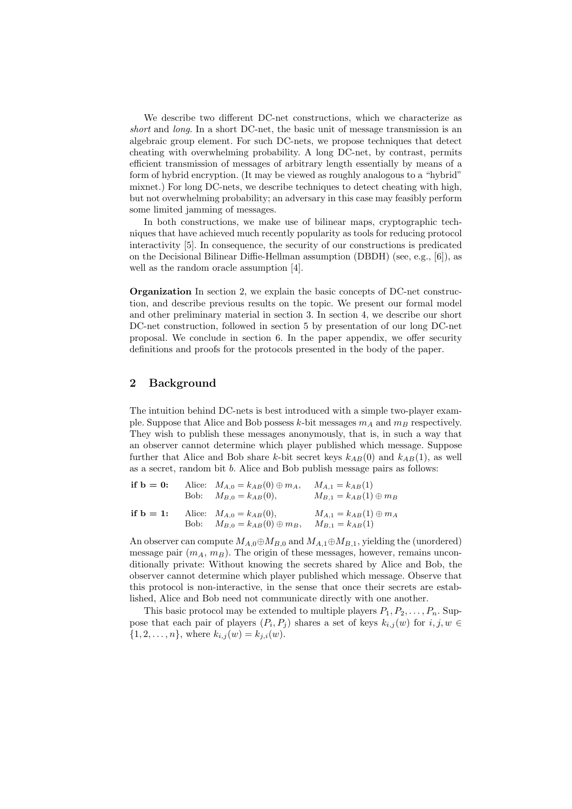We describe two different DC-net constructions, which we characterize as short and long. In a short DC-net, the basic unit of message transmission is an algebraic group element. For such DC-nets, we propose techniques that detect cheating with overwhelming probability. A long DC-net, by contrast, permits efficient transmission of messages of arbitrary length essentially by means of a form of hybrid encryption. (It may be viewed as roughly analogous to a "hybrid" mixnet.) For long DC-nets, we describe techniques to detect cheating with high, but not overwhelming probability; an adversary in this case may feasibly perform some limited jamming of messages.

In both constructions, we make use of bilinear maps, cryptographic techniques that have achieved much recently popularity as tools for reducing protocol interactivity [5]. In consequence, the security of our constructions is predicated on the Decisional Bilinear Diffie-Hellman assumption (DBDH) (see, e.g., [6]), as well as the random oracle assumption [4].

Organization In section 2, we explain the basic concepts of DC-net construction, and describe previous results on the topic. We present our formal model and other preliminary material in section 3. In section 4, we describe our short DC-net construction, followed in section 5 by presentation of our long DC-net proposal. We conclude in section 6. In the paper appendix, we offer security definitions and proofs for the protocols presented in the body of the paper.

### 2 Background

The intuition behind DC-nets is best introduced with a simple two-player example. Suppose that Alice and Bob possess k-bit messages  $m_A$  and  $m_B$  respectively. They wish to publish these messages anonymously, that is, in such a way that an observer cannot determine which player published which message. Suppose further that Alice and Bob share k-bit secret keys  $k_{AB}(0)$  and  $k_{AB}(1)$ , as well as a secret, random bit b. Alice and Bob publish message pairs as follows:

| if $b = 0$ : | Alice: $M_{A,0} = k_{AB}(0) \oplus m_A$ ,<br>Bob: $M_{B,0} = k_{AB}(0)$ , | $M_{A,1} = k_{AB}(1)$<br>$M_{B,1} = k_{AB}(1) \oplus m_B$ |
|--------------|---------------------------------------------------------------------------|-----------------------------------------------------------|
| if $b = 1$ : | Alice: $M_{A,0} = k_{AB}(0)$ ,<br>Bob: $M_{B,0} = k_{AB}(0) \oplus m_B$ , | $M_{A,1} = k_{AB}(1) \oplus m_A$<br>$M_{B,1} = k_{AB}(1)$ |

An observer can compute  $M_{A,0}$  $\oplus M_{B,0}$  and  $M_{A,1}$  $\oplus M_{B,1}$ , yielding the (unordered) message pair  $(m_A, m_B)$ . The origin of these messages, however, remains unconditionally private: Without knowing the secrets shared by Alice and Bob, the observer cannot determine which player published which message. Observe that this protocol is non-interactive, in the sense that once their secrets are established, Alice and Bob need not communicate directly with one another.

This basic protocol may be extended to multiple players  $P_1, P_2, \ldots, P_n$ . Suppose that each pair of players  $(P_i, P_j)$  shares a set of keys  $k_{i,j}(w)$  for  $i, j, w \in$  $\{1, 2, \ldots, n\}$ , where  $k_{i,j}(w) = k_{j,i}(w)$ .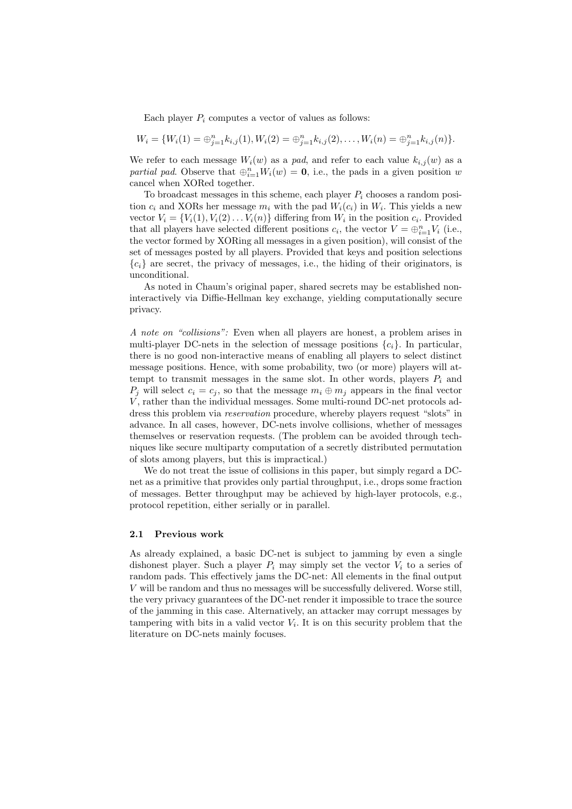Each player  $P_i$  computes a vector of values as follows:

$$
W_i = \{W_i(1) = \bigoplus_{j=1}^n k_{i,j}(1), W_i(2) = \bigoplus_{j=1}^n k_{i,j}(2), \ldots, W_i(n) = \bigoplus_{j=1}^n k_{i,j}(n)\}.
$$

We refer to each message  $W_i(w)$  as a pad, and refer to each value  $k_{i,j}(w)$  as a partial pad. Observe that  $\bigoplus_{i=1}^n W_i(w) = \mathbf{0}$ , i.e., the pads in a given position w cancel when XORed together.

To broadcast messages in this scheme, each player  $P_i$  chooses a random position  $c_i$  and XORs her message  $m_i$  with the pad  $W_i(c_i)$  in  $W_i$ . This yields a new vector  $V_i = \{V_i(1), V_i(2) \dots V_i(n)\}\$  differing from  $W_i$  in the position  $c_i$ . Provided that all players have selected different positions  $c_i$ , the vector  $V = \bigoplus_{i=1}^n V_i$  (i.e., the vector formed by XORing all messages in a given position), will consist of the set of messages posted by all players. Provided that keys and position selections  ${c_i}$  are secret, the privacy of messages, i.e., the hiding of their originators, is unconditional.

As noted in Chaum's original paper, shared secrets may be established noninteractively via Diffie-Hellman key exchange, yielding computationally secure privacy.

A note on "collisions": Even when all players are honest, a problem arises in multi-player DC-nets in the selection of message positions  $\{c_i\}$ . In particular, there is no good non-interactive means of enabling all players to select distinct message positions. Hence, with some probability, two (or more) players will attempt to transmit messages in the same slot. In other words, players  $P_i$  and  $P_j$  will select  $c_i = c_j$ , so that the message  $m_i \oplus m_j$  appears in the final vector V, rather than the individual messages. Some multi-round DC-net protocols address this problem via *reservation* procedure, whereby players request "slots" in advance. In all cases, however, DC-nets involve collisions, whether of messages themselves or reservation requests. (The problem can be avoided through techniques like secure multiparty computation of a secretly distributed permutation of slots among players, but this is impractical.)

We do not treat the issue of collisions in this paper, but simply regard a DCnet as a primitive that provides only partial throughput, i.e., drops some fraction of messages. Better throughput may be achieved by high-layer protocols, e.g., protocol repetition, either serially or in parallel.

#### 2.1 Previous work

As already explained, a basic DC-net is subject to jamming by even a single dishonest player. Such a player  $P_i$  may simply set the vector  $V_i$  to a series of random pads. This effectively jams the DC-net: All elements in the final output V will be random and thus no messages will be successfully delivered. Worse still, the very privacy guarantees of the DC-net render it impossible to trace the source of the jamming in this case. Alternatively, an attacker may corrupt messages by tampering with bits in a valid vector  $V_i$ . It is on this security problem that the literature on DC-nets mainly focuses.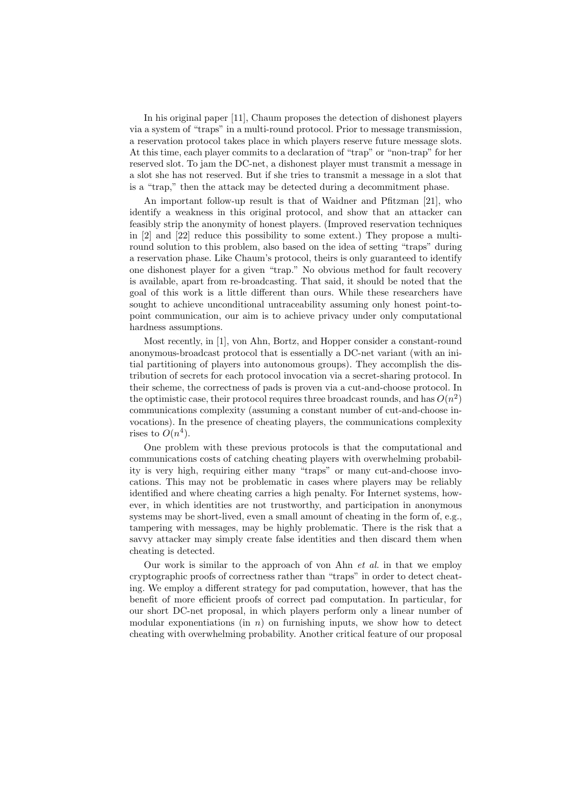In his original paper [11], Chaum proposes the detection of dishonest players via a system of "traps" in a multi-round protocol. Prior to message transmission, a reservation protocol takes place in which players reserve future message slots. At this time, each player commits to a declaration of "trap" or "non-trap" for her reserved slot. To jam the DC-net, a dishonest player must transmit a message in a slot she has not reserved. But if she tries to transmit a message in a slot that is a "trap," then the attack may be detected during a decommitment phase.

An important follow-up result is that of Waidner and Pfitzman [21], who identify a weakness in this original protocol, and show that an attacker can feasibly strip the anonymity of honest players. (Improved reservation techniques in [2] and [22] reduce this possibility to some extent.) They propose a multiround solution to this problem, also based on the idea of setting "traps" during a reservation phase. Like Chaum's protocol, theirs is only guaranteed to identify one dishonest player for a given "trap." No obvious method for fault recovery is available, apart from re-broadcasting. That said, it should be noted that the goal of this work is a little different than ours. While these researchers have sought to achieve unconditional untraceability assuming only honest point-topoint communication, our aim is to achieve privacy under only computational hardness assumptions.

Most recently, in [1], von Ahn, Bortz, and Hopper consider a constant-round anonymous-broadcast protocol that is essentially a DC-net variant (with an initial partitioning of players into autonomous groups). They accomplish the distribution of secrets for each protocol invocation via a secret-sharing protocol. In their scheme, the correctness of pads is proven via a cut-and-choose protocol. In the optimistic case, their protocol requires three broadcast rounds, and has  $O(n^2)$ communications complexity (assuming a constant number of cut-and-choose invocations). In the presence of cheating players, the communications complexity rises to  $O(n^4)$ .

One problem with these previous protocols is that the computational and communications costs of catching cheating players with overwhelming probability is very high, requiring either many "traps" or many cut-and-choose invocations. This may not be problematic in cases where players may be reliably identified and where cheating carries a high penalty. For Internet systems, however, in which identities are not trustworthy, and participation in anonymous systems may be short-lived, even a small amount of cheating in the form of, e.g., tampering with messages, may be highly problematic. There is the risk that a savvy attacker may simply create false identities and then discard them when cheating is detected.

Our work is similar to the approach of von Ahn  $et$  al. in that we employ cryptographic proofs of correctness rather than "traps" in order to detect cheating. We employ a different strategy for pad computation, however, that has the benefit of more efficient proofs of correct pad computation. In particular, for our short DC-net proposal, in which players perform only a linear number of modular exponentiations (in  $n$ ) on furnishing inputs, we show how to detect cheating with overwhelming probability. Another critical feature of our proposal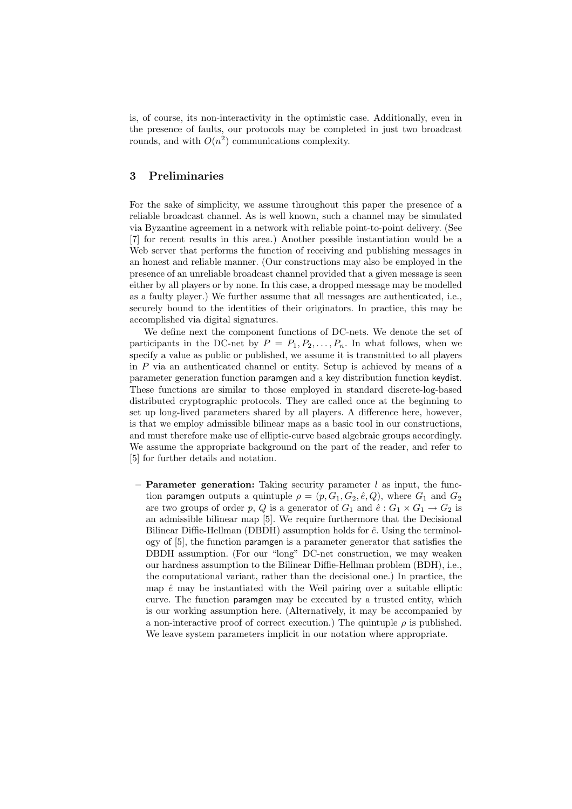is, of course, its non-interactivity in the optimistic case. Additionally, even in the presence of faults, our protocols may be completed in just two broadcast rounds, and with  $O(n^2)$  communications complexity.

# 3 Preliminaries

For the sake of simplicity, we assume throughout this paper the presence of a reliable broadcast channel. As is well known, such a channel may be simulated via Byzantine agreement in a network with reliable point-to-point delivery. (See [7] for recent results in this area.) Another possible instantiation would be a Web server that performs the function of receiving and publishing messages in an honest and reliable manner. (Our constructions may also be employed in the presence of an unreliable broadcast channel provided that a given message is seen either by all players or by none. In this case, a dropped message may be modelled as a faulty player.) We further assume that all messages are authenticated, i.e., securely bound to the identities of their originators. In practice, this may be accomplished via digital signatures.

We define next the component functions of DC-nets. We denote the set of participants in the DC-net by  $P = P_1, P_2, \ldots, P_n$ . In what follows, when we specify a value as public or published, we assume it is transmitted to all players in P via an authenticated channel or entity. Setup is achieved by means of a parameter generation function paramgen and a key distribution function keydist. These functions are similar to those employed in standard discrete-log-based distributed cryptographic protocols. They are called once at the beginning to set up long-lived parameters shared by all players. A difference here, however, is that we employ admissible bilinear maps as a basic tool in our constructions, and must therefore make use of elliptic-curve based algebraic groups accordingly. We assume the appropriate background on the part of the reader, and refer to [5] for further details and notation.

**Parameter generation:** Taking security parameter  $l$  as input, the function paramgen outputs a quintuple  $\rho = (p, G_1, G_2, \hat{e}, Q)$ , where  $G_1$  and  $G_2$ are two groups of order p, Q is a generator of  $G_1$  and  $\hat{e}: G_1 \times G_1 \to G_2$  is an admissible bilinear map [5]. We require furthermore that the Decisional Bilinear Diffie-Hellman (DBDH) assumption holds for  $\hat{e}$ . Using the terminology of [5], the function paramgen is a parameter generator that satisfies the DBDH assumption. (For our "long" DC-net construction, we may weaken our hardness assumption to the Bilinear Diffie-Hellman problem (BDH), i.e., the computational variant, rather than the decisional one.) In practice, the map  $\hat{e}$  may be instantiated with the Weil pairing over a suitable elliptic curve. The function paramgen may be executed by a trusted entity, which is our working assumption here. (Alternatively, it may be accompanied by a non-interactive proof of correct execution.) The quintuple  $\rho$  is published. We leave system parameters implicit in our notation where appropriate.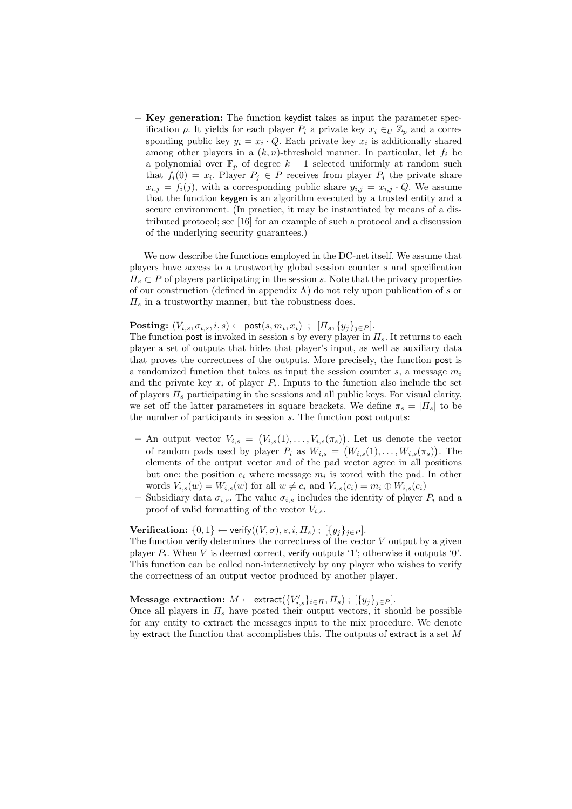– Key generation: The function keydist takes as input the parameter specification  $\rho$ . It yields for each player  $P_i$  a private key  $x_i \in U \mathbb{Z}_p$  and a corresponding public key  $y_i = x_i \cdot Q$ . Each private key  $x_i$  is additionally shared among other players in a  $(k, n)$ -threshold manner. In particular, let  $f_i$  be a polynomial over  $\mathbb{F}_p$  of degree  $k-1$  selected uniformly at random such that  $f_i(0) = x_i$ . Player  $P_j \in P$  receives from player  $P_i$  the private share  $x_{i,j} = f_i(j)$ , with a corresponding public share  $y_{i,j} = x_{i,j} \cdot Q$ . We assume that the function keygen is an algorithm executed by a trusted entity and a secure environment. (In practice, it may be instantiated by means of a distributed protocol; see [16] for an example of such a protocol and a discussion of the underlying security guarantees.)

We now describe the functions employed in the DC-net itself. We assume that players have access to a trustworthy global session counter s and specification  $\Pi_s \subset P$  of players participating in the session s. Note that the privacy properties of our construction (defined in appendix A) do not rely upon publication of s or  $\Pi_s$  in a trustworthy manner, but the robustness does.

**Posting:**  $(V_{i,s}, \sigma_{i,s}, i, s) \leftarrow \text{post}(s, m_i, x_i)$ ;  $[\Pi_s, \{y_j\}_{j \in P}].$ 

The function post is invoked in session s by every player in  $\Pi_s$ . It returns to each player a set of outputs that hides that player's input, as well as auxiliary data that proves the correctness of the outputs. More precisely, the function post is a randomized function that takes as input the session counter  $s$ , a message  $m_i$ and the private key  $x_i$  of player  $P_i$ . Inputs to the function also include the set of players  $\Pi_s$  participating in the sessions and all public keys. For visual clarity, we set off the latter parameters in square brackets. We define  $\pi_s = |I_s|$  to be the number of participants in session  $s$ . The function post outputs:

- $-$  An output vector  $V_{i,s} =$ ¡  $V_{i,s}(1), \ldots, V_{i,s}(\pi_s)$ ¢ ). Let us denote the vector of random pads used by player  $P_i$  as  $W_{i,s} = (W_{i,s}(1), \ldots, W_{i,s}(\pi_s))$ . The elements of the output vector and of the pad vector agree in all positions but one: the position  $c_i$  where message  $m_i$  is xored with the pad. In other words  $V_{i,s}(w) = W_{i,s}(w)$  for all  $w \neq c_i$  and  $V_{i,s}(c_i) = m_i \oplus W_{i,s}(c_i)$
- Subsidiary data  $\sigma_{i,s}$ . The value  $\sigma_{i,s}$  includes the identity of player  $P_i$  and a proof of valid formatting of the vector  $V_{i,s}$ .

Verification:  $\{0,1\} \leftarrow$  verify $((V, \sigma), s, i, \Pi_s)$ ;  $[\{y_i\}_{i \in P}]$ .

The function verify determines the correctness of the vector  $V$  output by a given player  $P_i$ . When V is deemed correct, verify outputs '1'; otherwise it outputs '0'. This function can be called non-interactively by any player who wishes to verify the correctness of an output vector produced by another player.

 $\textbf{Message extraction: } M \leftarrow \text{extract}(\{V_{i,s}'\}_{i \in \Pi}, \Pi_s) \; ; \; [\{y_j\}_{j \in P}].$ 

Once all players in  $\Pi_s$  have posted their output vectors, it should be possible for any entity to extract the messages input to the mix procedure. We denote by extract the function that accomplishes this. The outputs of extract is a set  $M$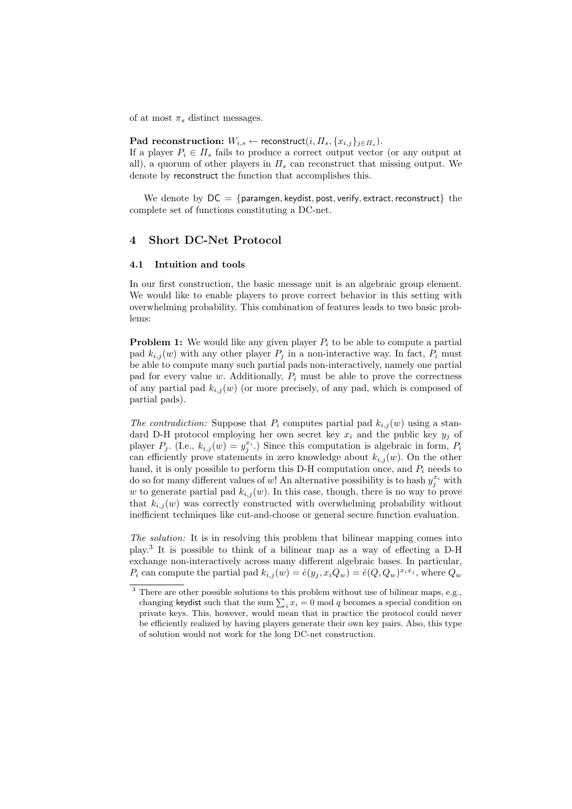of at most  $\pi_s$  distinct messages.

## $\mathbf{Pad}$  reconstruction:  $W_{i,s} \leftarrow \mathsf{reconstruct}(i, \Pi_s, \{x_{i,j}\}_{j \in \Pi_s}).$

If a player  $P_i \in \Pi_s$  fails to produce a correct output vector (or any output at all), a quorum of other players in  $\Pi_s$  can reconstruct that missing output. We denote by reconstruct the function that accomplishes this.

We denote by  $DC = \{paramgen, keydist, post, verify, extract, reconstruct\}$  the complete set of functions constituting a DC-net.

# 4 Short DC-Net Protocol

### 4.1 Intuition and tools

In our first construction, the basic message unit is an algebraic group element. We would like to enable players to prove correct behavior in this setting with overwhelming probability. This combination of features leads to two basic problems:

**Problem 1:** We would like any given player  $P_i$  to be able to compute a partial pad  $k_{i,j}(w)$  with any other player  $P_j$  in a non-interactive way. In fact,  $P_i$  must be able to compute many such partial pads non-interactively, namely one partial pad for every value w. Additionally,  $P_i$  must be able to prove the correctness of any partial pad  $k_{i,j}(w)$  (or more precisely, of any pad, which is composed of partial pads).

The contradiction: Suppose that  $P_i$  computes partial pad  $k_{i,j}(w)$  using a standard D-H protocol employing her own secret key  $x_i$  and the public key  $y_j$  of player  $P_j$ . (I.e.,  $k_{i,j}(w) = y_j^{x_i}$ .) Since this computation is algebraic in form,  $P_i$ can efficiently prove statements in zero knowledge about  $k_{i,j}(w)$ . On the other hand, it is only possible to perform this D-H computation once, and  $P_i$  needs to do so for many different values of w! An alternative possibility is to hash  $y_j^{x_i}$  with w to generate partial pad  $k_{i,j}(w)$ . In this case, though, there is no way to prove that  $k_{i,j}(w)$  was correctly constructed with overwhelming probability without inefficient techniques like cut-and-choose or general secure function evaluation.

The solution: It is in resolving this problem that bilinear mapping comes into play.<sup>3</sup> It is possible to think of a bilinear map as a way of effecting a D-H exchange non-interactively across many different algebraic bases. In particular,  $P_i$  can compute the partial pad  $k_{i,j}(w) = \hat{e}(y_j, x_i Q_w) = \hat{e}(Q, Q_w)^{x_i x_j}$ , where  $Q_w$ 

 $^3$  There are other possible solutions to this problem without use of bilinear maps, e.g., There are other possible solutions to this problem without use of bilinear maps, e.g., changing keydist such that the sum  $\sum_i x_i = 0 \mod q$  becomes a special condition on private keys. This, however, would mean that in practice the protocol could never be efficiently realized by having players generate their own key pairs. Also, this type of solution would not work for the long DC-net construction.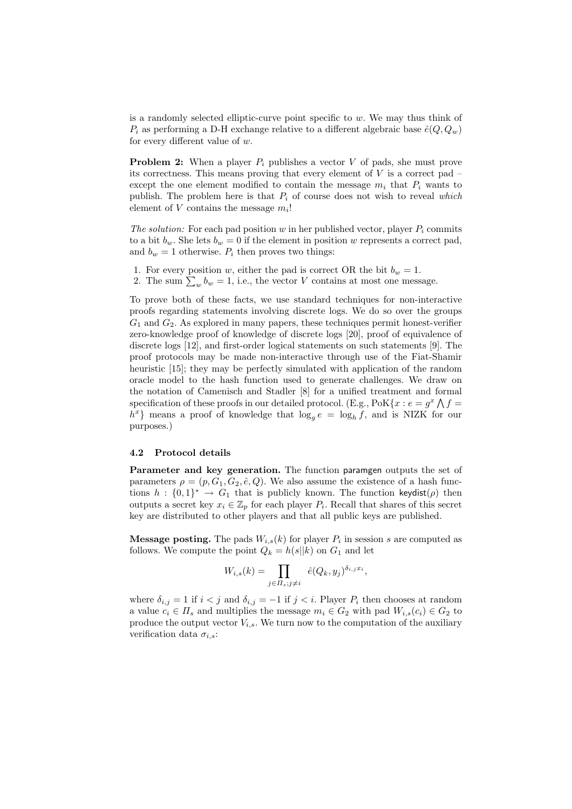is a randomly selected elliptic-curve point specific to w. We may thus think of  $P_i$  as performing a D-H exchange relative to a different algebraic base  $\hat{e}(Q, Q_w)$ for every different value of  $w$ .

**Problem 2:** When a player  $P_i$  publishes a vector V of pads, she must prove its correctness. This means proving that every element of  $V$  is a correct pad – except the one element modified to contain the message  $m_i$  that  $P_i$  wants to publish. The problem here is that  $P_i$  of course does not wish to reveal which element of  $V$  contains the message  $m_i!$ 

The solution: For each pad position w in her published vector, player  $P_i$  commits to a bit  $b_w$ . She lets  $b_w = 0$  if the element in position w represents a correct pad, and  $b_w = 1$  otherwise.  $P_i$  then proves two things:

- 1. For every position w, either the pad is correct OR the bit  $b_w = 1$ .
- 1. For every position w, either the pad is correct OK the bit  $b_w = 1$ .<br>2. The sum  $\sum_w b_w = 1$ , i.e., the vector V contains at most one message.

To prove both of these facts, we use standard techniques for non-interactive proofs regarding statements involving discrete logs. We do so over the groups  $G_1$  and  $G_2$ . As explored in many papers, these techniques permit honest-verifier zero-knowledge proof of knowledge of discrete logs [20], proof of equivalence of discrete logs [12], and first-order logical statements on such statements [9]. The proof protocols may be made non-interactive through use of the Fiat-Shamir heuristic [15]; they may be perfectly simulated with application of the random oracle model to the hash function used to generate challenges. We draw on the notation of Camenisch and Stadler [8] for a unified treatment and formal specification of these proofs in our detailed protocol. (E.g.,  $\text{PoK}\{x : e = g^x \wedge f =$  $h^x$ } means a proof of knowledge that  $\log_g e = \log_h f$ , and is NIZK for our purposes.)

### 4.2 Protocol details

Parameter and key generation. The function paramgen outputs the set of parameters  $\rho = (p, G_1, G_2, \hat{e}, Q)$ . We also assume the existence of a hash functions  $h: \{0,1\}^* \to G_1$  that is publicly known. The function keydist( $\rho$ ) then outputs a secret key  $x_i \in \mathbb{Z}_p$  for each player  $P_i$ . Recall that shares of this secret key are distributed to other players and that all public keys are published.

**Message posting.** The pads  $W_{i,s}(k)$  for player  $P_i$  in session s are computed as follows. We compute the point  $Q_k = h(s||k)$  on  $G_1$  and let

$$
W_{i,s}(k) = \prod_{j \in \Pi_s; j \neq i} \hat{e}(Q_k, y_j)^{\delta_{i,j}x_i},
$$

where  $\delta_{i,j} = 1$  if  $i < j$  and  $\delta_{i,j} = -1$  if  $j < i$ . Player  $P_i$  then chooses at random a value  $c_i \in \Pi_s$  and multiplies the message  $m_i \in G_2$  with pad  $W_{i,s}(c_i) \in G_2$  to produce the output vector  $V_{i,s}$ . We turn now to the computation of the auxiliary verification data  $\sigma_{i,s}$ :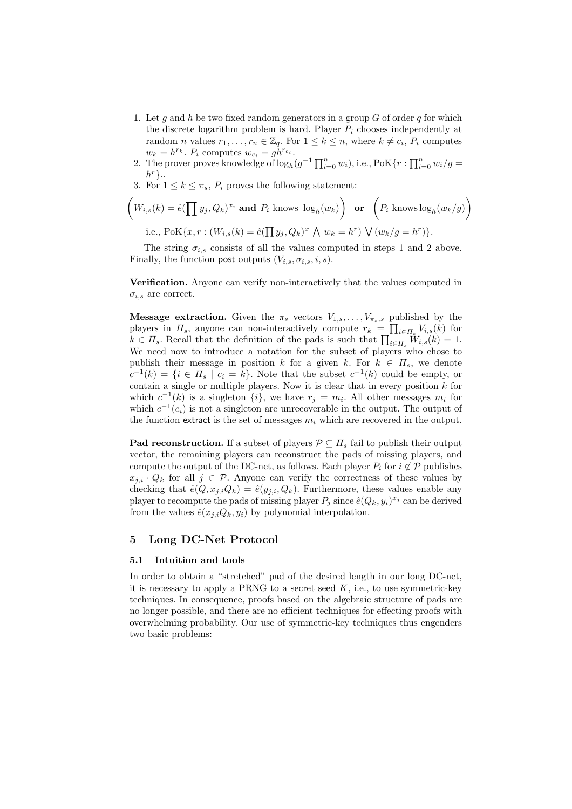- 1. Let g and h be two fixed random generators in a group G of order q for which the discrete logarithm problem is hard. Player  $P_i$  chooses independently at random *n* values  $r_1, \ldots, r_n \in \mathbb{Z}_q$ . For  $1 \leq k \leq n$ , where  $k \neq c_i$ ,  $P_i$  computes  $w_k = h^{r_k}$ .  $P_i$  computes  $w_{c_i} = g h^{r_{c_i}}$ .
- $w_k = n^{k}$ .  $P_i$  computes  $w_{c_i} = gn^{c_i}$ .<br>2. The prover proves knowledge of  $\log_h(g^{-1}\prod_{i=0}^n w_i)$ , i.e.,  $\text{PoK}\{r: \prod_{i=0}^n w_i/g = 1\}$  $h^r$ .
- 3. For  $1 \leq k \leq \pi_s$ ,  $P_i$  proves the following statement:

$$
\left(W_{i,s}(k) = \hat{e}(\prod y_j, Q_k)^{x_i} \text{ and } P_i \text{ knows } \log_h(w_k)\right) \text{ or } \left(P_i \text{ knows } \log_h(w_k/g)\right)
$$
  
i.e.,  $\text{PoK}\{x, r : (W_{i,s}(k) = \hat{e}(\prod y_j, Q_k)^x \wedge w_k = h^r) \vee (w_k/g = h^r)\}.$ 

)}.

The string  $\sigma_{i,s}$  consists of all the values computed in steps 1 and 2 above. Finally, the function post outputs  $(V_{i,s}, \sigma_{i,s}, i, s)$ .

Verification. Anyone can verify non-interactively that the values computed in  $\sigma_{i,s}$  are correct.

**Message extraction.** Given the  $\pi_s$  vectors  $V_{1,s}, \ldots, V_{\pi_s,s}$  published by the players in  $\Pi_s$ , anyone can non-interactively compute  $r_k = \prod_{i \in \Pi_s} V_{i,s}(k)$  for players in  $H_s$ , anyone can non-interactively compute  $r_k = \prod_{i \in \Pi_s} V_{i,s}(k)$  for  $k \in \Pi_s$ . Recall that the definition of the pads is such that  $\prod_{i \in \Pi_s} W_{i,s}(k) = 1$ . We need now to introduce a notation for the subset of players who chose to publish their message in position k for a given k. For  $k \in \Pi_s$ , we denote  $c^{-1}(k) = \{i \in \Pi_s \mid c_i = k\}.$  Note that the subset  $c^{-1}(k)$  could be empty, or contain a single or multiple players. Now it is clear that in every position  $k$  for which  $c^{-1}(k)$  is a singleton  $\{i\}$ , we have  $r_j = m_i$ . All other messages  $m_i$  for which  $c^{-1}(c_i)$  is not a singleton are unrecoverable in the output. The output of the function extract is the set of messages  $m_i$  which are recovered in the output.

**Pad reconstruction.** If a subset of players  $P \subseteq \Pi_s$  fail to publish their output vector, the remaining players can reconstruct the pads of missing players, and compute the output of the DC-net, as follows. Each player  $P_i$  for  $i \notin \mathcal{P}$  publishes  $x_{j,i} \cdot Q_k$  for all  $j \in \mathcal{P}$ . Anyone can verify the correctness of these values by checking that  $\hat{e}(Q, x_{i,i}Q_k) = \hat{e}(y_{i,i}, Q_k)$ . Furthermore, these values enable any player to recompute the pads of missing player  $P_j$  since  $\hat{e}(Q_k, y_i)^{x_j}$  can be derived from the values  $\hat{e}(x_{i,i}Q_k, y_i)$  by polynomial interpolation.

# 5 Long DC-Net Protocol

#### 5.1 Intuition and tools

In order to obtain a "stretched" pad of the desired length in our long DC-net, it is necessary to apply a PRNG to a secret seed  $K$ , i.e., to use symmetric-key techniques. In consequence, proofs based on the algebraic structure of pads are no longer possible, and there are no efficient techniques for effecting proofs with overwhelming probability. Our use of symmetric-key techniques thus engenders two basic problems: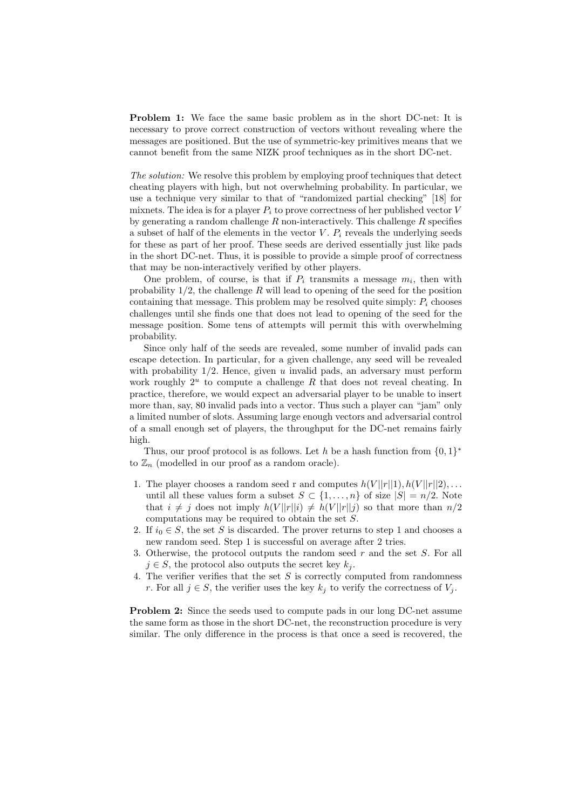Problem 1: We face the same basic problem as in the short DC-net: It is necessary to prove correct construction of vectors without revealing where the messages are positioned. But the use of symmetric-key primitives means that we cannot benefit from the same NIZK proof techniques as in the short DC-net.

The solution: We resolve this problem by employing proof techniques that detect cheating players with high, but not overwhelming probability. In particular, we use a technique very similar to that of "randomized partial checking" [18] for mixnets. The idea is for a player  $P_i$  to prove correctness of her published vector V by generating a random challenge  $R$  non-interactively. This challenge  $R$  specifies a subset of half of the elements in the vector  $V$ .  $P_i$  reveals the underlying seeds for these as part of her proof. These seeds are derived essentially just like pads in the short DC-net. Thus, it is possible to provide a simple proof of correctness that may be non-interactively verified by other players.

One problem, of course, is that if  $P_i$  transmits a message  $m_i$ , then with probability  $1/2$ , the challenge R will lead to opening of the seed for the position containing that message. This problem may be resolved quite simply:  $P_i$  chooses challenges until she finds one that does not lead to opening of the seed for the message position. Some tens of attempts will permit this with overwhelming probability.

Since only half of the seeds are revealed, some number of invalid pads can escape detection. In particular, for a given challenge, any seed will be revealed with probability  $1/2$ . Hence, given u invalid pads, an adversary must perform work roughly  $2^u$  to compute a challenge R that does not reveal cheating. In practice, therefore, we would expect an adversarial player to be unable to insert more than, say, 80 invalid pads into a vector. Thus such a player can "jam" only a limited number of slots. Assuming large enough vectors and adversarial control of a small enough set of players, the throughput for the DC-net remains fairly high.

Thus, our proof protocol is as follows. Let h be a hash function from  $\{0,1\}^*$ to  $\mathbb{Z}_n$  (modelled in our proof as a random oracle).

- 1. The player chooses a random seed r and computes  $h(V||r||1), h(V||r||2), \ldots$ until all these values form a subset  $S \subset \{1, \ldots, n\}$  of size  $|S| = n/2$ . Note that  $i \neq j$  does not imply  $h(V||r||i) \neq h(V||r||j)$  so that more than  $n/2$ computations may be required to obtain the set S.
- 2. If  $i_0 \in S$ , the set S is discarded. The prover returns to step 1 and chooses a new random seed. Step 1 is successful on average after 2 tries.
- 3. Otherwise, the protocol outputs the random seed  $r$  and the set  $S$ . For all  $j \in S$ , the protocol also outputs the secret key  $k_i$ .
- 4. The verifier verifies that the set  $S$  is correctly computed from randomness r. For all  $j \in S$ , the verifier uses the key  $k_j$  to verify the correctness of  $V_j$ .

Problem 2: Since the seeds used to compute pads in our long DC-net assume the same form as those in the short DC-net, the reconstruction procedure is very similar. The only difference in the process is that once a seed is recovered, the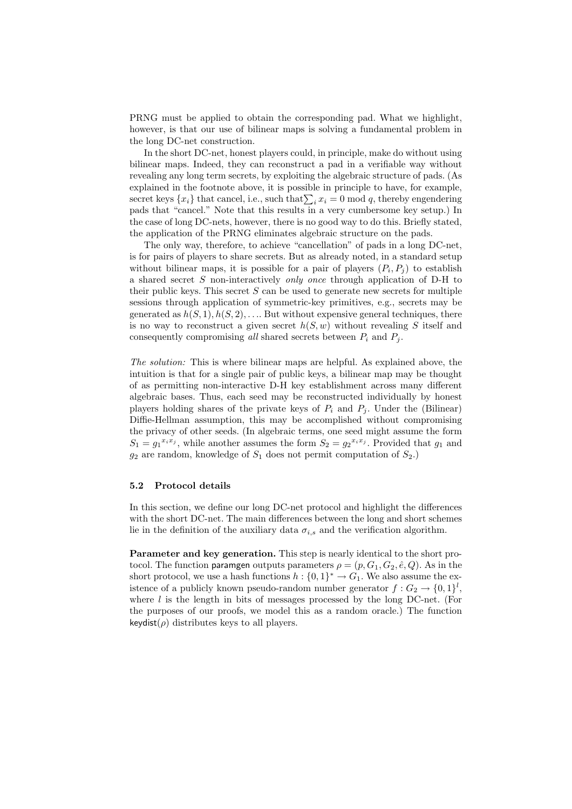PRNG must be applied to obtain the corresponding pad. What we highlight, however, is that our use of bilinear maps is solving a fundamental problem in the long DC-net construction.

In the short DC-net, honest players could, in principle, make do without using bilinear maps. Indeed, they can reconstruct a pad in a verifiable way without revealing any long term secrets, by exploiting the algebraic structure of pads. (As explained in the footnote above, it is possible in principle to have, for example, explained in the loothote above, it is possible in principle to have, for example, secret keys  $\{x_i\}$  that cancel, i.e., such that  $\sum_i x_i = 0 \text{ mod } q$ , thereby engendering pads that "cancel." Note that this results in a very cumbersome key setup.) In the case of long DC-nets, however, there is no good way to do this. Briefly stated, the application of the PRNG eliminates algebraic structure on the pads.

The only way, therefore, to achieve "cancellation" of pads in a long DC-net, is for pairs of players to share secrets. But as already noted, in a standard setup without bilinear maps, it is possible for a pair of players  $(P_i, P_j)$  to establish a shared secret S non-interactively only once through application of D-H to their public keys. This secret  $S$  can be used to generate new secrets for multiple sessions through application of symmetric-key primitives, e.g., secrets may be generated as  $h(S, 1), h(S, 2), \ldots$  But without expensive general techniques, there is no way to reconstruct a given secret  $h(S, w)$  without revealing S itself and consequently compromising all shared secrets between  $P_i$  and  $P_j$ .

The solution: This is where bilinear maps are helpful. As explained above, the intuition is that for a single pair of public keys, a bilinear map may be thought of as permitting non-interactive D-H key establishment across many different algebraic bases. Thus, each seed may be reconstructed individually by honest players holding shares of the private keys of  $P_i$  and  $P_j$ . Under the (Bilinear) Diffie-Hellman assumption, this may be accomplished without compromising the privacy of other seeds. (In algebraic terms, one seed might assume the form  $S_1 = g_1^{x_i x_j}$ , while another assumes the form  $S_2 = g_2^{x_i x_j}$ . Provided that  $g_1$  and  $g_2$  are random, knowledge of  $S_1$  does not permit computation of  $S_2$ .)

#### 5.2 Protocol details

In this section, we define our long DC-net protocol and highlight the differences with the short DC-net. The main differences between the long and short schemes lie in the definition of the auxiliary data  $\sigma_{i,s}$  and the verification algorithm.

Parameter and key generation. This step is nearly identical to the short protocol. The function paramgen outputs parameters  $\rho = (p, G_1, G_2, \hat{e}, Q)$ . As in the short protocol, we use a hash functions  $h: \{0,1\}^* \to G_1$ . We also assume the existence of a publicly known pseudo-random number generator  $f: G_2 \to \{0,1\}^l$ , where  $l$  is the length in bits of messages processed by the long DC-net. (For the purposes of our proofs, we model this as a random oracle.) The function  $keydist(\rho)$  distributes keys to all players.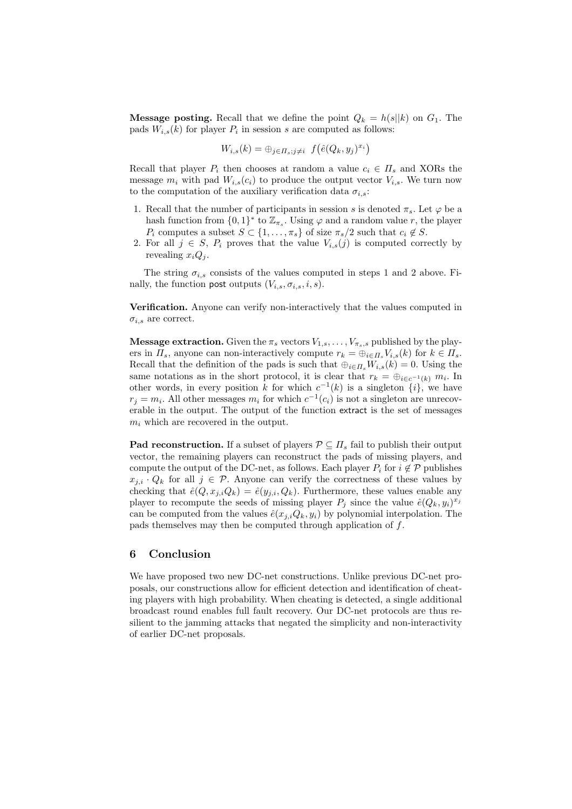**Message posting.** Recall that we define the point  $Q_k = h(s||k)$  on  $G_1$ . The pads  $W_{i,s}(k)$  for player  $P_i$  in session s are computed as follows:

$$
W_{i,s}(k) = \bigoplus_{j \in \Pi_s; j \neq i} f(\hat{e}(Q_k, y_j)^{x_i})
$$

Recall that player  $P_i$  then chooses at random a value  $c_i \in \Pi_s$  and XORs the message  $m_i$  with pad  $W_{i,s}(c_i)$  to produce the output vector  $V_{i,s}$ . We turn now to the computation of the auxiliary verification data  $\sigma_{i,s}$ :

- 1. Recall that the number of participants in session s is denoted  $\pi_s$ . Let  $\varphi$  be a hash function from  $\{0,1\}^*$  to  $\mathbb{Z}_{\pi_s}$ . Using  $\varphi$  and a random value r, the player  $P_i$  computes a subset  $S \subset \{1, \ldots, \pi_s\}$  of size  $\pi_s/2$  such that  $c_i \notin S$ .
- 2. For all  $j \in S$ ,  $P_i$  proves that the value  $V_{i,s}(j)$  is computed correctly by revealing  $x_iQ_j$ .

The string  $\sigma_{i,s}$  consists of the values computed in steps 1 and 2 above. Finally, the function post outputs  $(V_{i,s}, \sigma_{i,s}, i, s)$ .

Verification. Anyone can verify non-interactively that the values computed in  $\sigma_{i,s}$  are correct.

**Message extraction.** Given the  $\pi_s$  vectors  $V_{1,s}, \ldots, V_{\pi_s,s}$  published by the players in  $\Pi_s$ , anyone can non-interactively compute  $r_k = \bigoplus_{i \in \Pi_s} V_{i,s}(k)$  for  $k \in \Pi_s$ . Recall that the definition of the pads is such that  $\bigoplus_{i\in I}W_{i,s}(k)=0$ . Using the same notations as in the short protocol, it is clear that  $r_k = \bigoplus_{i \in c^{-1}(k)} m_i$ . In other words, in every position k for which  $c^{-1}(k)$  is a singleton  $\{i\}$ , we have  $r_j = m_i$ . All other messages  $m_i$  for which  $c^{-1}(c_i)$  is not a singleton are unrecoverable in the output. The output of the function extract is the set of messages  $m_i$  which are recovered in the output.

**Pad reconstruction.** If a subset of players  $\mathcal{P} \subseteq \Pi_s$  fail to publish their output vector, the remaining players can reconstruct the pads of missing players, and compute the output of the DC-net, as follows. Each player  $P_i$  for  $i \notin \mathcal{P}$  publishes  $x_{j,i} \cdot Q_k$  for all  $j \in \mathcal{P}$ . Anyone can verify the correctness of these values by checking that  $\hat{e}(Q, x_{j,i}Q_k) = \hat{e}(y_{j,i}, Q_k)$ . Furthermore, these values enable any player to recompute the seeds of missing player  $P_j$  since the value  $\hat{e}(Q_k, y_i)^{x_j}$ can be computed from the values  $\hat{e}(x_{j,i}Q_k, y_i)$  by polynomial interpolation. The pads themselves may then be computed through application of f.

# 6 Conclusion

We have proposed two new DC-net constructions. Unlike previous DC-net proposals, our constructions allow for efficient detection and identification of cheating players with high probability. When cheating is detected, a single additional broadcast round enables full fault recovery. Our DC-net protocols are thus resilient to the jamming attacks that negated the simplicity and non-interactivity of earlier DC-net proposals.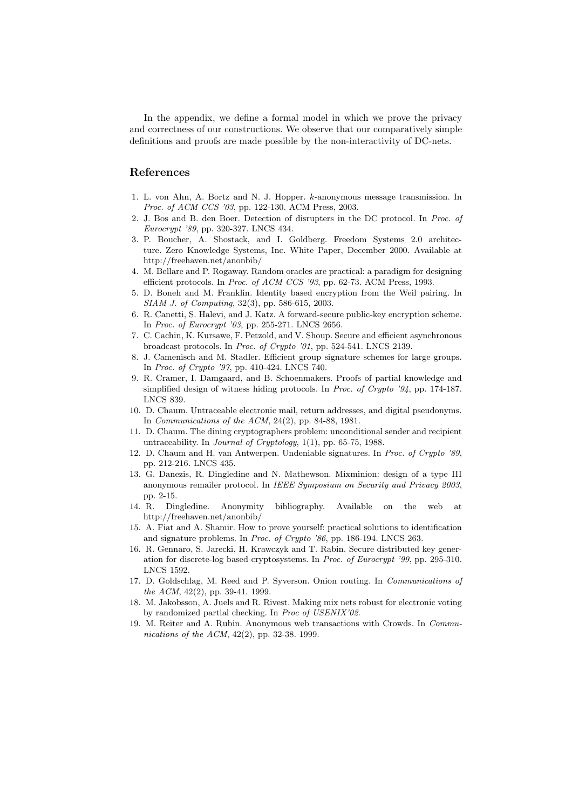In the appendix, we define a formal model in which we prove the privacy and correctness of our constructions. We observe that our comparatively simple definitions and proofs are made possible by the non-interactivity of DC-nets.

# References

- 1. L. von Ahn, A. Bortz and N. J. Hopper. k-anonymous message transmission. In Proc. of ACM CCS '03, pp. 122-130. ACM Press, 2003.
- 2. J. Bos and B. den Boer. Detection of disrupters in the DC protocol. In Proc. of Eurocrypt '89, pp. 320-327. LNCS 434.
- 3. P. Boucher, A. Shostack, and I. Goldberg. Freedom Systems 2.0 architecture. Zero Knowledge Systems, Inc. White Paper, December 2000. Available at http://freehaven.net/anonbib/
- 4. M. Bellare and P. Rogaway. Random oracles are practical: a paradigm for designing efficient protocols. In Proc. of ACM CCS '93, pp. 62-73. ACM Press, 1993.
- 5. D. Boneh and M. Franklin. Identity based encryption from the Weil pairing. In SIAM J. of Computing, 32(3), pp. 586-615, 2003.
- 6. R. Canetti, S. Halevi, and J. Katz. A forward-secure public-key encryption scheme. In Proc. of Eurocrypt '03, pp. 255-271. LNCS 2656.
- 7. C. Cachin, K. Kursawe, F. Petzold, and V. Shoup. Secure and efficient asynchronous broadcast protocols. In Proc. of Crypto '01, pp. 524-541. LNCS 2139.
- 8. J. Camenisch and M. Stadler. Efficient group signature schemes for large groups. In Proc. of Crypto '97, pp. 410-424. LNCS 740.
- 9. R. Cramer, I. Damgaard, and B. Schoenmakers. Proofs of partial knowledge and simplified design of witness hiding protocols. In Proc. of Crypto '94, pp. 174-187. LNCS 839.
- 10. D. Chaum. Untraceable electronic mail, return addresses, and digital pseudonyms. In Communications of the ACM, 24(2), pp. 84-88, 1981.
- 11. D. Chaum. The dining cryptographers problem: unconditional sender and recipient untraceability. In Journal of Cryptology, 1(1), pp. 65-75, 1988.
- 12. D. Chaum and H. van Antwerpen. Undeniable signatures. In Proc. of Crypto '89, pp. 212-216. LNCS 435.
- 13. G. Danezis, R. Dingledine and N. Mathewson. Mixminion: design of a type III anonymous remailer protocol. In IEEE Symposium on Security and Privacy 2003, pp. 2-15.
- 14. R. Dingledine. Anonymity bibliography. Available on the web at http://freehaven.net/anonbib/
- 15. A. Fiat and A. Shamir. How to prove yourself: practical solutions to identification and signature problems. In Proc. of Crypto '86, pp. 186-194. LNCS 263.
- 16. R. Gennaro, S. Jarecki, H. Krawczyk and T. Rabin. Secure distributed key generation for discrete-log based cryptosystems. In Proc. of Eurocrypt '99, pp. 295-310. LNCS 1592.
- 17. D. Goldschlag, M. Reed and P. Syverson. Onion routing. In Communications of the ACM, 42(2), pp. 39-41. 1999.
- 18. M. Jakobsson, A. Juels and R. Rivest. Making mix nets robust for electronic voting by randomized partial checking. In Proc of USENIX'02.
- 19. M. Reiter and A. Rubin. Anonymous web transactions with Crowds. In Communications of the ACM, 42(2), pp. 32-38. 1999.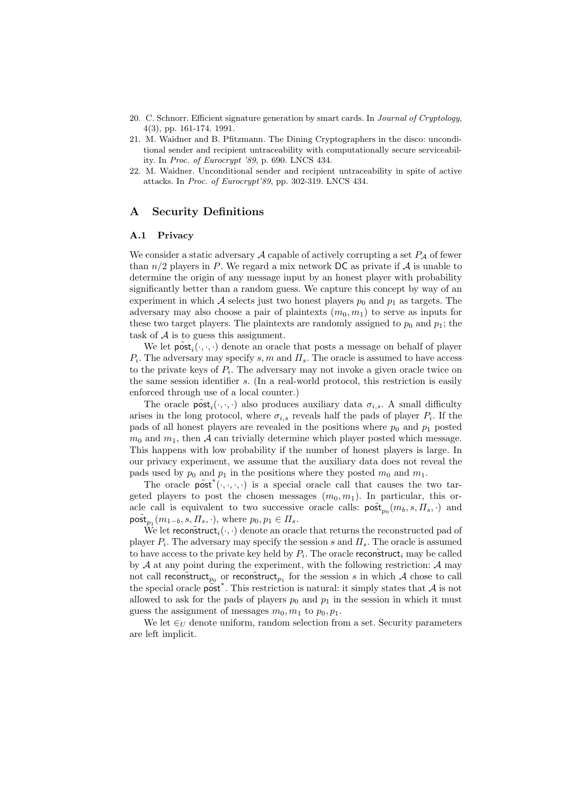- 20. C. Schnorr. Efficient signature generation by smart cards. In Journal of Cryptology, 4(3), pp. 161-174. 1991.
- 21. M. Waidner and B. Pfitzmann. The Dining Cryptographers in the disco: unconditional sender and recipient untraceability with computationally secure serviceability. In Proc. of Eurocrypt '89, p. 690. LNCS 434.
- 22. M. Waidner. Unconditional sender and recipient untraceability in spite of active attacks. In Proc. of Eurocrypt'89, pp. 302-319. LNCS 434.

## A Security Definitions

### A.1 Privacy

We consider a static adversary A capable of actively corrupting a set  $P_A$  of fewer than  $n/2$  players in P. We regard a mix network DC as private if A is unable to determine the origin of any message input by an honest player with probability significantly better than a random guess. We capture this concept by way of an experiment in which A selects just two honest players  $p_0$  and  $p_1$  as targets. The adversary may also choose a pair of plaintexts  $(m_0, m_1)$  to serve as inputs for these two target players. The plaintexts are randomly assigned to  $p_0$  and  $p_1$ ; the task of  $A$  is to guess this assignment.

We let  $\tilde{\text{post}}_i(\cdot, \cdot, \cdot)$  denote an oracle that posts a message on behalf of player  $P_i$ . The adversary may specify s, m and  $\Pi_s$ . The oracle is assumed to have access to the private keys of  $P_i$ . The adversary may not invoke a given oracle twice on the same session identifier s. (In a real-world protocol, this restriction is easily enforced through use of a local counter.)

The oracle  $\tilde{\text{post}}_i(\cdot, \cdot, \cdot)$  also produces auxiliary data  $\sigma_{i,s}$ . A small difficulty arises in the long protocol, where  $\sigma_{i,s}$  reveals half the pads of player  $P_i$ . If the pads of all honest players are revealed in the positions where  $p_0$  and  $p_1$  posted  $m_0$  and  $m_1$ , then A can trivially determine which player posted which message. This happens with low probability if the number of honest players is large. In our privacy experiment, we assume that the auxiliary data does not reveal the pads used by  $p_0$  and  $p_1$  in the positions where they posted  $m_0$  and  $m_1$ .

The oracle  $\widetilde{\text{post}}^*(\cdot,\cdot,\cdot,\cdot)$  is a special oracle call that causes the two targeted players to post the chosen messages  $(m_0, m_1)$ . In particular, this oracle call is equivalent to two successive oracle calls:  $\overline{\text{post}}_{p_0}(m_b, s, \overline{H}_s, \cdot)$  and  $\tilde{\text{post}}_{p_1}(m_{1-b}, s, \Pi_s, \cdot), \text{ where } p_0, p_1 \in \Pi_s.$ 

We let reconstruct<sub>i</sub> $(\cdot, \cdot)$  denote an oracle that returns the reconstructed pad of player  $P_i$ . The adversary may specify the session s and  $\Pi_s$ . The oracle is assumed to have access to the private key held by  $P_i$ . The oracle reconstruct, may be called by  $A$  at any point during the experiment, with the following restriction:  $A$  may not call reconstruct<sub>p<sub>0</sub></sub> or reconstruct<sub>p<sub>1</sub></sub> for the session s in which A chose to call the special oracle  $\overline{\text{post}}^*$ . This restriction is natural: it simply states that A is not allowed to ask for the pads of players  $p_0$  and  $p_1$  in the session in which it must guess the assignment of messages  $m_0, m_1$  to  $p_0, p_1$ .

We let  $\in_{\mathcal{U}}$  denote uniform, random selection from a set. Security parameters are left implicit.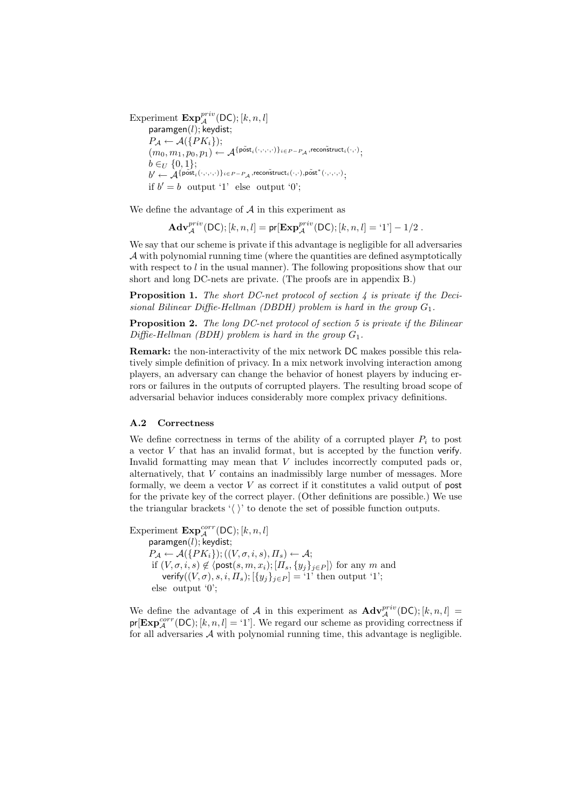Experiment  $\mathbf{Exp}^{priv}_{\mathcal{A}}(\mathsf{DC}); [k, n, l]$ paramgen $(l)$ ; keydist;  $P_{\mathcal{A}} \leftarrow \mathcal{A}(\{PK_i\});$  $(m_0, m_1, p_0, p_1) \leftarrow \mathcal{A}^{\{\tilde{\text{post}}_i(\cdot, \cdot, \cdot, \cdot)\}_{i \in P - P_{\mathcal{A}}}, \text{recon\~text{struct}_i(\cdot, \cdot)\}}$  $b \in_U \{0, 1\};$  $b' \leftarrow \mathcal{\hat{A}}^{\{\mathsf{post}_i^{\prime}(\cdot,\cdot,\cdot,\cdot)\}_{i \in P-P_\mathcal{A}}, \mathsf{recon}\~\mathrm{struct}_i(\cdot,\cdot), \mathsf{post}^{\ast}(\cdot,\cdot,\cdot,\cdot)},$ if  $b' = b$  output '1' else output '0';

We define the advantage of  $A$  in this experiment as

$$
\mathbf{Adv}_{\mathcal{A}}^{priv}(\mathsf{DC});[k,n,l]=\mathsf{pr}[\mathbf{Exp}_{\mathcal{A}}^{priv}(\mathsf{DC});[k,n,l]=`1']-1/2\;.
$$

We say that our scheme is private if this advantage is negligible for all adversaries  $\mathcal A$  with polynomial running time (where the quantities are defined asymptotically with respect to  $l$  in the usual manner). The following propositions show that our short and long DC-nets are private. (The proofs are in appendix B.)

**Proposition 1.** The short DC-net protocol of section  $\lambda$  is private if the Decisional Bilinear Diffie-Hellman (DBDH) problem is hard in the group  $G_1$ .

**Proposition 2.** The long DC-net protocol of section 5 is private if the Bilinear  $Diffie-Hellman (BDH) problem is hard in the group  $G_1$ .$ 

Remark: the non-interactivity of the mix network DC makes possible this relatively simple definition of privacy. In a mix network involving interaction among players, an adversary can change the behavior of honest players by inducing errors or failures in the outputs of corrupted players. The resulting broad scope of adversarial behavior induces considerably more complex privacy definitions.

### A.2 Correctness

We define correctness in terms of the ability of a corrupted player  $P_i$  to post a vector  $V$  that has an invalid format, but is accepted by the function verify. Invalid formatting may mean that  $V$  includes incorrectly computed pads or, alternatively, that V contains an inadmissibly large number of messages. More formally, we deem a vector  $V$  as correct if it constitutes a valid output of post for the private key of the correct player. (Other definitions are possible.) We use the triangular brackets ' $\langle \rangle$ ' to denote the set of possible function outputs.

Experiment  $\mathbf{Exp}_{\mathcal{A}}^{corr}(\mathsf{DC}); [k, n, l]$ paramgen $(l)$ ; keydist;  $P_{\mathcal{A}} \leftarrow \mathcal{A}(\{PK_i\}); ((V, \sigma, i, s), \Pi_s) \leftarrow \mathcal{A};$ if  $(V, \sigma, i, s) \notin \langle \text{post}(s, m, x_i); [\tilde{\Pi}_s, \{y_j\}_{j \in P}] \rangle$  for any m and verify $((V, \sigma), s, i, \Pi_s); [\{y_j\}_{j \in P}] = '1'$  then output '1'; else output '0';

We define the advantage of A in this experiment as  $\mathbf{Adv}_{\mathcal{A}}^{priv}(\mathsf{DC}); [k, n, l] =$  $pr[Exp_{\mathcal{A}}^{corr}(DC); [k, n, l] = '1$ ']. We regard our scheme as providing correctness if for all adversaries  $A$  with polynomial running time, this advantage is negligible.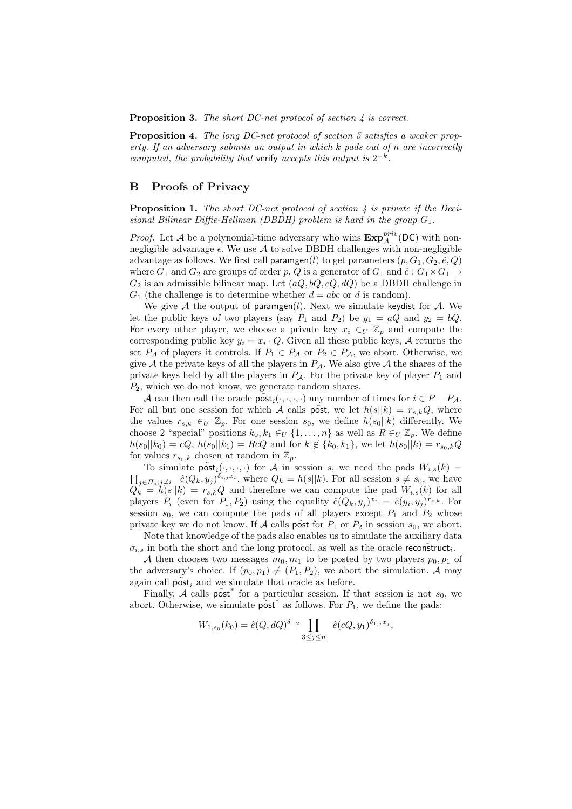**Proposition 3.** The short DC-net protocol of section  $\lambda$  is correct.

Proposition 4. The long DC-net protocol of section 5 satisfies a weaker property. If an adversary submits an output in which k pads out of n are incorrectly computed, the probability that verify accepts this output is  $2^{-k}$ .

## B Proofs of Privacy

**Proposition 1.** The short DC-net protocol of section  $\lambda$  is private if the Decisional Bilinear Diffie-Hellman (DBDH) problem is hard in the group  $G_1$ .

*Proof.* Let A be a polynomial-time adversary who wins  $\mathbf{Exp}_{\mathcal{A}}^{priv}(\mathsf{DC})$  with nonnegligible advantage  $\epsilon$ . We use A to solve DBDH challenges with non-negligible advantage as follows. We first call paramgen(l) to get parameters  $(p, G_1, G_2, \hat{e}, Q)$ where  $G_1$  and  $G_2$  are groups of order p, Q is a generator of  $G_1$  and  $\hat{e}: G_1 \times G_1 \rightarrow$  $G_2$  is an admissible bilinear map. Let  $(aQ, bQ, cQ, dQ)$  be a DBDH challenge in  $G_1$  (the challenge is to determine whether  $d = abc$  or d is random).

We give A the output of paramgen(l). Next we simulate keydist for A. We let the public keys of two players (say  $P_1$  and  $P_2$ ) be  $y_1 = aQ$  and  $y_2 = bQ$ . For every other player, we choose a private key  $x_i \in U \mathbb{Z}_p$  and compute the corresponding public key  $y_i = x_i \cdot Q$ . Given all these public keys, A returns the set  $P_A$  of players it controls. If  $P_1 \in P_A$  or  $P_2 \in P_A$ , we abort. Otherwise, we give A the private keys of all the players in  $P_A$ . We also give A the shares of the private keys held by all the players in  $P_{\mathcal{A}}$ . For the private key of player  $P_1$  and  $P_2$ , which we do not know, we generate random shares.

A can then call the oracle  $\tilde{\text{post}}_i(\cdot, \cdot, \cdot, \cdot)$  any number of times for  $i \in P - P_{\mathcal{A}}$ . For all but one session for which A calls post, we let  $h(s||k) = r_{s,k}Q$ , where the values  $r_{s,k} \in U \mathbb{Z}_p$ . For one session  $s_0$ , we define  $h(s_0||k)$  differently. We choose 2 "special" positions  $k_0, k_1 \in U \{1, \ldots, n\}$  as well as  $R \in U \mathbb{Z}_p$ . We define  $h(s_0||k_0) = cQ, h(s_0||k_1) = RcQ$  and for  $k \notin \{k_0, k_1\}$ , we let  $h(s_0||k) = r_{s_0,k}Q$ for values  $r_{s_0,k}$  chosen at random in  $\mathbb{Z}_p$ .

To simulate  $\tilde{\text{post}}_i(\cdot, \cdot, \cdot)$  for A in session s, we need the pads  $W_{i,s}(k)$  $\overline{a}$  $j\in I_s, j\neq i$   $\hat{e}(Q_k, y_j)^{\delta_{i,j}x_i}$ , where  $Q_k = h(s||k)$ . For all session  $s \neq s_0$ , we have  $Q_k = h(s||k) = r_{s,k}Q$  and therefore we can compute the pad  $W_{i,s}(k)$  for all players  $P_i$  (even for  $P_1, P_2$ ) using the equality  $\hat{e}(Q_k, y_j)^{x_i} = \hat{e}(y_i, y_j)^{r_{s,k}}$ . For session  $s_0$ , we can compute the pads of all players except  $P_1$  and  $P_2$  whose private key we do not know. If A calls post for  $P_1$  or  $P_2$  in session  $s_0$ , we abort.

Note that knowledge of the pads also enables us to simulate the auxiliary data  $\sigma_{i,s}$  in both the short and the long protocol, as well as the oracle reconstruct<sub>i</sub>.

A then chooses two messages  $m_0, m_1$  to be posted by two players  $p_0, p_1$  of the adversary's choice. If  $(p_0, p_1) \neq (P_1, P_2)$ , we abort the simulation. A may again call  $\tilde{\text{post}}_i$  and we simulate that oracle as before.

Finally,  $\mathcal{A}$  calls post<sup>\*</sup> for a particular session. If that session is not  $s_0$ , we abort. Otherwise, we simulate  $\vec{post}^*$  as follows. For  $P_1$ , we define the pads:

$$
W_{1,s_0}(k_0) = \hat{e}(Q,dQ)^{\delta_{1,2}} \prod_{3 \le j \le n} \hat{e}(cQ,y_1)^{\delta_{1,j}x_j},
$$